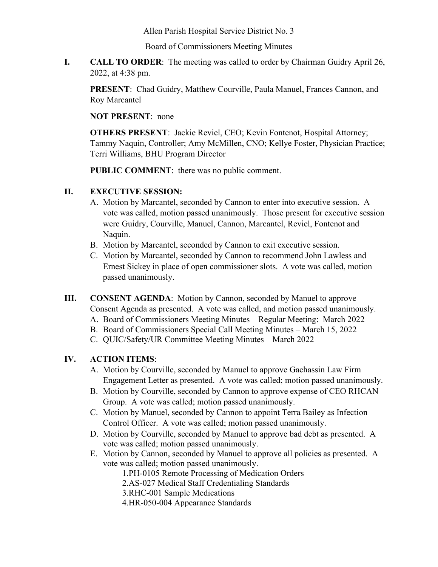Allen Parish Hospital Service District No. 3

Board of Commissioners Meeting Minutes

**I. CALL TO ORDER**: The meeting was called to order by Chairman Guidry April 26, 2022, at 4:38 pm.

**PRESENT**: Chad Guidry, Matthew Courville, Paula Manuel, Frances Cannon, and Roy Marcantel

**NOT PRESENT**: none

**OTHERS PRESENT**: Jackie Reviel, CEO; Kevin Fontenot, Hospital Attorney; Tammy Naquin, Controller; Amy McMillen, CNO; Kellye Foster, Physician Practice; Terri Williams, BHU Program Director

**PUBLIC COMMENT**: there was no public comment.

## **II. EXECUTIVE SESSION:**

- A. Motion by Marcantel, seconded by Cannon to enter into executive session. A vote was called, motion passed unanimously. Those present for executive session were Guidry, Courville, Manuel, Cannon, Marcantel, Reviel, Fontenot and Naquin.
- B. Motion by Marcantel, seconded by Cannon to exit executive session.
- C. Motion by Marcantel, seconded by Cannon to recommend John Lawless and Ernest Sickey in place of open commissioner slots. A vote was called, motion passed unanimously.
- **III. CONSENT AGENDA**: Motion by Cannon, seconded by Manuel to approve Consent Agenda as presented. A vote was called, and motion passed unanimously.
	- A. Board of Commissioners Meeting Minutes Regular Meeting: March 2022
	- B. Board of Commissioners Special Call Meeting Minutes March 15, 2022
	- C. QUIC/Safety/UR Committee Meeting Minutes March 2022

## **IV. ACTION ITEMS**:

- A. Motion by Courville, seconded by Manuel to approve Gachassin Law Firm Engagement Letter as presented. A vote was called; motion passed unanimously.
- B. Motion by Courville, seconded by Cannon to approve expense of CEO RHCAN Group. A vote was called; motion passed unanimously.
- C. Motion by Manuel, seconded by Cannon to appoint Terra Bailey as Infection Control Officer. A vote was called; motion passed unanimously.
- D. Motion by Courville, seconded by Manuel to approve bad debt as presented. A vote was called; motion passed unanimously.
- E. Motion by Cannon, seconded by Manuel to approve all policies as presented. A vote was called; motion passed unanimously.

1.PH-0105 Remote Processing of Medication Orders

2.AS-027 Medical Staff Credentialing Standards

- 3.RHC-001 Sample Medications
- 4.HR-050-004 Appearance Standards